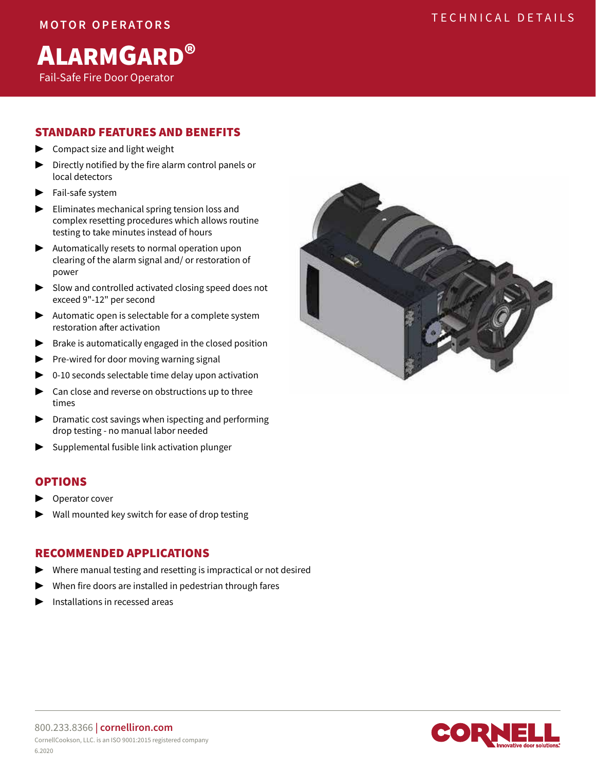# ALARMGARD®

Fail-Safe Fire Door Operator

## STANDARD FEATURES AND BENEFITS

- ▶ Compact size and light weight
- ▶ Directly notified by the fire alarm control panels or local detectors
- Fail-safe system
- ▶ Eliminates mechanical spring tension loss and complex resetting procedures which allows routine testing to take minutes instead of hours
- ▶ Automatically resets to normal operation upon clearing of the alarm signal and/ or restoration of power
- ▶ Slow and controlled activated closing speed does not exceed 9"-12" per second
- ▶ Automatic open is selectable for a complete system restoration after activation
- $\blacktriangleright$  Brake is automatically engaged in the closed position
- ▶ Pre-wired for door moving warning signal
- $\triangleright$  0-10 seconds selectable time delay upon activation
- $\blacktriangleright$  Can close and reverse on obstructions up to three times
- ▶ Dramatic cost savings when ispecting and performing drop testing - no manual labor needed
- ▶ Supplemental fusible link activation plunger

## OPTIONS

- Operator cover
- Wall mounted key switch for ease of drop testing

## RECOMMENDED APPLICATIONS

- ▶ Where manual testing and resetting is impractical or not desired
- When fire doors are installed in pedestrian through fares
- ▶ Installations in recessed areas